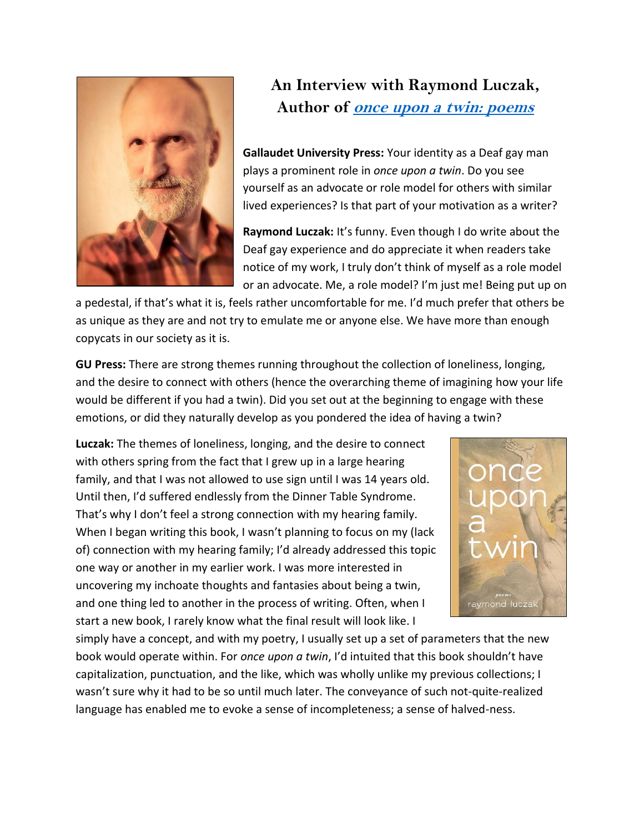

## **An Interview with Raymond Luczak, Author of once upon a [twin: poems](http://gupress.gallaudet.edu/once-upon-a-twin.html)**

**Gallaudet University Press:** Your identity as a Deaf gay man plays a prominent role in *once upon a twin*. Do you see yourself as an advocate or role model for others with similar lived experiences? Is that part of your motivation as a writer?

**Raymond Luczak:** It's funny. Even though I do write about the Deaf gay experience and do appreciate it when readers take notice of my work, I truly don't think of myself as a role model or an advocate. Me, a role model? I'm just me! Being put up on

a pedestal, if that's what it is, feels rather uncomfortable for me. I'd much prefer that others be as unique as they are and not try to emulate me or anyone else. We have more than enough copycats in our society as it is.

**GU Press:** There are strong themes running throughout the collection of loneliness, longing, and the desire to connect with others (hence the overarching theme of imagining how your life would be different if you had a twin). Did you set out at the beginning to engage with these emotions, or did they naturally develop as you pondered the idea of having a twin?

**Luczak:** The themes of loneliness, longing, and the desire to connect with others spring from the fact that I grew up in a large hearing family, and that I was not allowed to use sign until I was 14 years old. Until then, I'd suffered endlessly from the Dinner Table Syndrome. That's why I don't feel a strong connection with my hearing family. When I began writing this book, I wasn't planning to focus on my (lack of) connection with my hearing family; I'd already addressed this topic one way or another in my earlier work. I was more interested in uncovering my inchoate thoughts and fantasies about being a twin, and one thing led to another in the process of writing. Often, when I start a new book, I rarely know what the final result will look like. I



simply have a concept, and with my poetry, I usually set up a set of parameters that the new book would operate within. For *once upon a twin*, I'd intuited that this book shouldn't have capitalization, punctuation, and the like, which was wholly unlike my previous collections; I wasn't sure why it had to be so until much later. The conveyance of such not-quite-realized language has enabled me to evoke a sense of incompleteness; a sense of halved-ness.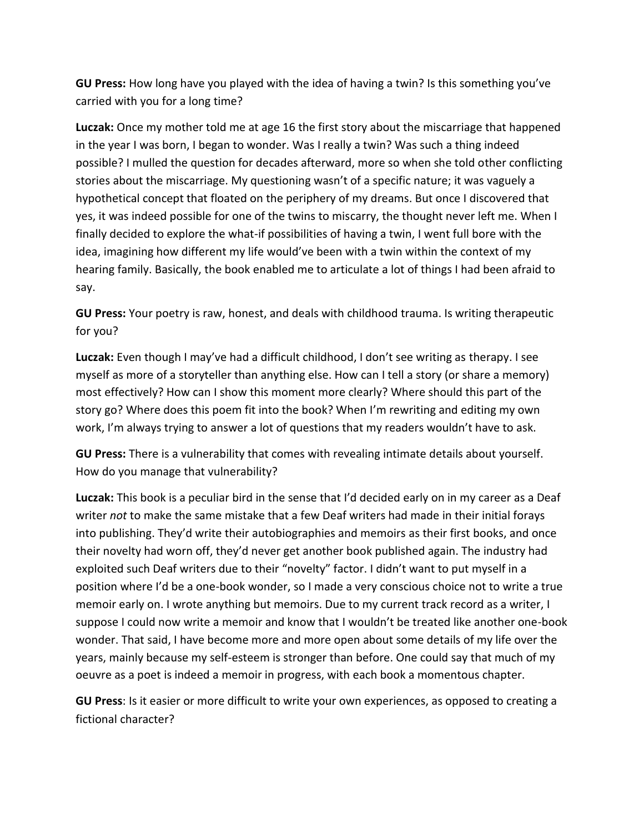**GU Press:** How long have you played with the idea of having a twin? Is this something you've carried with you for a long time?

**Luczak:** Once my mother told me at age 16 the first story about the miscarriage that happened in the year I was born, I began to wonder. Was I really a twin? Was such a thing indeed possible? I mulled the question for decades afterward, more so when she told other conflicting stories about the miscarriage. My questioning wasn't of a specific nature; it was vaguely a hypothetical concept that floated on the periphery of my dreams. But once I discovered that yes, it was indeed possible for one of the twins to miscarry, the thought never left me. When I finally decided to explore the what-if possibilities of having a twin, I went full bore with the idea, imagining how different my life would've been with a twin within the context of my hearing family. Basically, the book enabled me to articulate a lot of things I had been afraid to say.

**GU Press:** Your poetry is raw, honest, and deals with childhood trauma. Is writing therapeutic for you?

**Luczak:** Even though I may've had a difficult childhood, I don't see writing as therapy. I see myself as more of a storyteller than anything else. How can I tell a story (or share a memory) most effectively? How can I show this moment more clearly? Where should this part of the story go? Where does this poem fit into the book? When I'm rewriting and editing my own work, I'm always trying to answer a lot of questions that my readers wouldn't have to ask.

**GU Press:** There is a vulnerability that comes with revealing intimate details about yourself. How do you manage that vulnerability?

**Luczak:** This book is a peculiar bird in the sense that I'd decided early on in my career as a Deaf writer *not* to make the same mistake that a few Deaf writers had made in their initial forays into publishing. They'd write their autobiographies and memoirs as their first books, and once their novelty had worn off, they'd never get another book published again. The industry had exploited such Deaf writers due to their "novelty" factor. I didn't want to put myself in a position where I'd be a one-book wonder, so I made a very conscious choice not to write a true memoir early on. I wrote anything but memoirs. Due to my current track record as a writer, I suppose I could now write a memoir and know that I wouldn't be treated like another one-book wonder. That said, I have become more and more open about some details of my life over the years, mainly because my self-esteem is stronger than before. One could say that much of my oeuvre as a poet is indeed a memoir in progress, with each book a momentous chapter.

**GU Press**: Is it easier or more difficult to write your own experiences, as opposed to creating a fictional character?